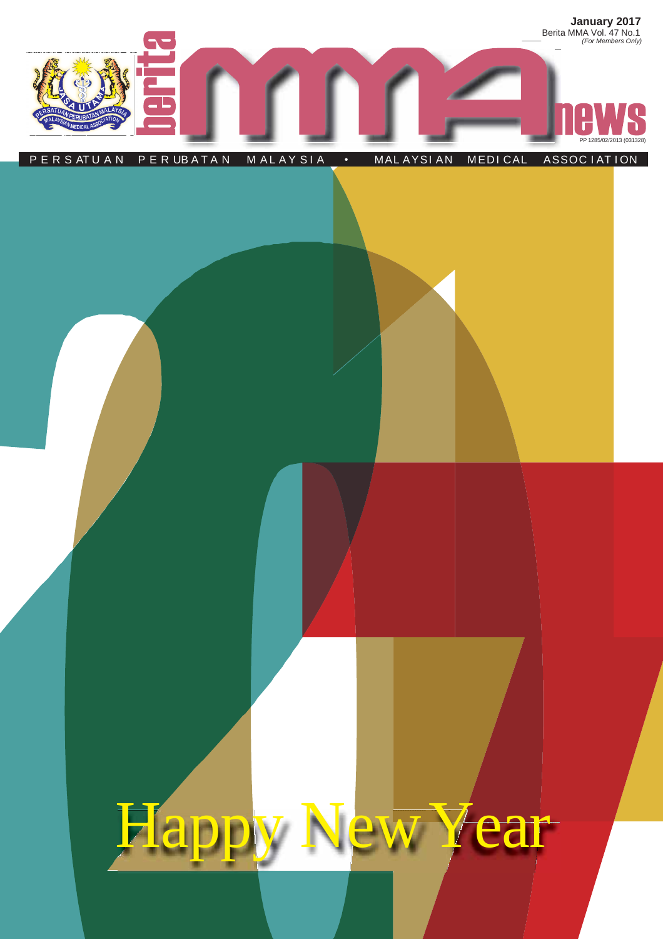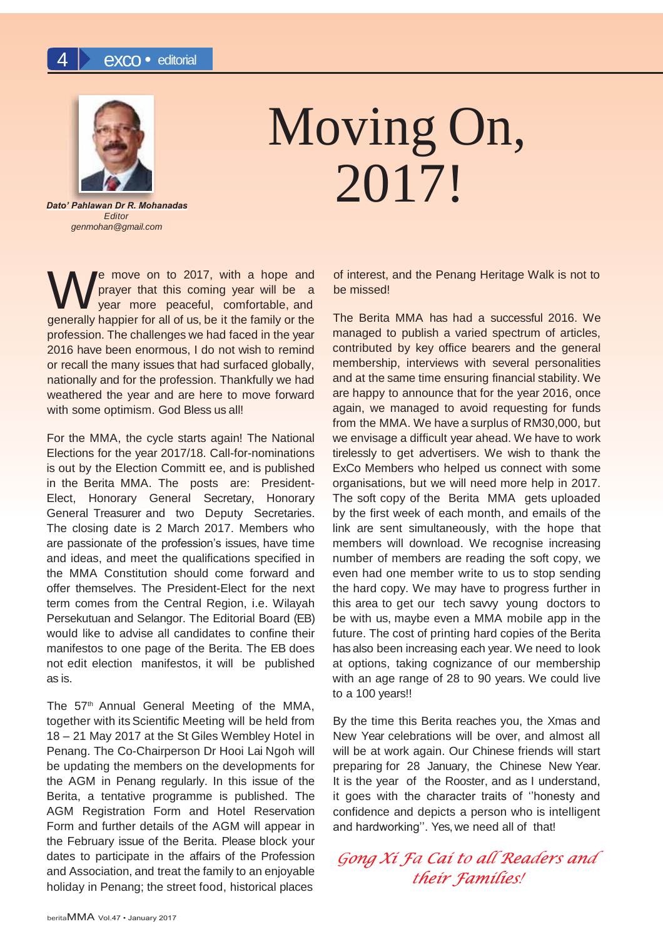

# Moving On, 2017!

*Dato' Pahlawan Dr R. Mohanadas Editor [genmohan@gmail.com](mailto:genmohan@gmail.com)*

We move on to 2017, with a hope and prayer that this coming year will be a year more peaceful, comfortable, and generally happier for all of us, be it the family or the e move on to 2017, with a hope and prayer that this coming year will be a year more peaceful, comfortable, and profession. The challenges we had faced in the year 2016 have been enormous, I do not wish to remind or recall the many issues that had surfaced globally, nationally and for the profession. Thankfully we had weathered the year and are here to move forward with some optimism. God Bless us all!

For the MMA, the cycle starts again! The National Elections for the year 2017/18. Call-for-nominations is out by the Election Committ ee, and is published in the Berita MMA. The posts are: President-Elect, Honorary General Secretary, Honorary General Treasurer and two Deputy Secretaries. The closing date is 2 March 2017. Members who are passionate of the profession's issues, have time and ideas, and meet the qualifications specified in the MMA Constitution should come forward and offer themselves. The President-Elect for the next term comes from the Central Region, i.e. Wilayah Persekutuan and Selangor. The Editorial Board (EB) would like to advise all candidates to confine their manifestos to one page of the Berita. The EB does not edit election manifestos, it will be published as is.

The 57<sup>th</sup> Annual General Meeting of the MMA, together with its Scientific Meeting will be held from 18 – 21 May 2017 at the St Giles Wembley Hotel in Penang. The Co-Chairperson Dr Hooi Lai Ngoh will be updating the members on the developments for the AGM in Penang regularly. In this issue of the Berita, a tentative programme is published. The AGM Registration Form and Hotel Reservation Form and further details of the AGM will appear in the February issue of the Berita. Please block your dates to participate in the affairs of the Profession and Association, and treat the family to an enjoyable holiday in Penang; the street food, historical places

of interest, and the Penang Heritage Walk is not to be missed!

The Berita MMA has had a successful 2016. We managed to publish a varied spectrum of articles, contributed by key office bearers and the general membership, interviews with several personalities and at the same time ensuring financial stability. We are happy to announce that for the year 2016, once again, we managed to avoid requesting for funds from the MMA. We have a surplus of RM30,000, but we envisage a difficult year ahead. We have to work tirelessly to get advertisers. We wish to thank the ExCo Members who helped us connect with some organisations, but we will need more help in 2017. The soft copy of the Berita MMA gets uploaded by the first week of each month, and emails of the link are sent simultaneously, with the hope that members will download. We recognise increasing number of members are reading the soft copy, we even had one member write to us to stop sending the hard copy. We may have to progress further in this area to get our tech savvy young doctors to be with us, maybe even a MMA mobile app in the future. The cost of printing hard copies of the Berita has also been increasing each year. We need to look at options, taking cognizance of our membership with an age range of 28 to 90 years. We could live to a 100 years!!

By the time this Berita reaches you, the Xmas and New Year celebrations will be over, and almost all will be at work again. Our Chinese friends will start preparing for 28 January, the Chinese New Year. It is the year of the Rooster, and as I understand, it goes with the character traits of ''honesty and confidence and depicts a person who is intelligent and hardworking''. Yes, we need all of that!

*Gong Xi Fa <sup>C</sup>ai to all Reader<sup>s</sup> <sup>a</sup>nd thei<sup>r</sup> Families!*